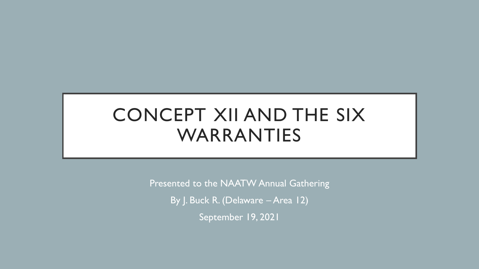## CONCEPT XII AND THE SIX WARRANTIES

Presented to the NAATW Annual Gathering By J. Buck R. (Delaware – Area 12) September 19, 2021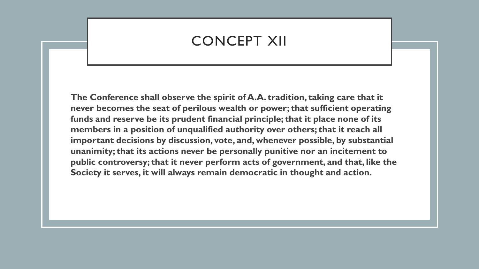### CONCEPT XII

**The Conference shall observe the spirit of A.A. tradition, taking care that it never becomes the seat of perilous wealth or power; that sufficient operating funds and reserve be its prudent financial principle; that it place none of its members in a position of unqualified authority over others; that it reach all important decisions by discussion, vote, and, whenever possible, by substantial unanimity; that its actions never be personally punitive nor an incitement to public controversy; that it never perform acts of government, and that, like the Society it serves, it will always remain democratic in thought and action.**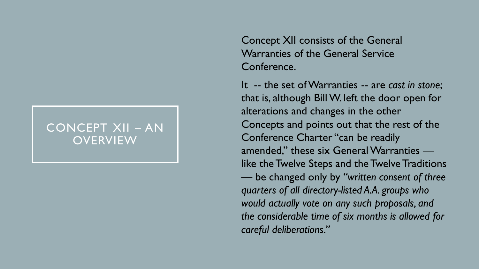#### CONCEPT XII – AN **OVERVIEW**

Concept XII consists of the General Warranties of the General Service Conference.

It -- the set of Warranties -- are *cast in stone*; that is, although Bill W. left the door open for alterations and changes in the other Concepts and points out that the rest of the Conference Charter "can be readily amended," these six General Warranties like the Twelve Steps and the Twelve Traditions — be changed only by *"written consent of three quarters of all directory-listed A.A. groups who would actually vote on any such proposals, and the considerable time of six months is allowed for careful deliberations."*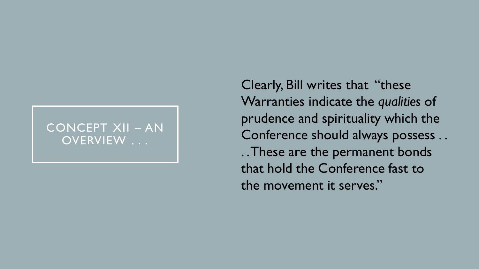#### CONCEPT XII – AN OVERVIEW ...

Clearly, Bill writes that "these Warranties indicate the *qualities* of prudence and spirituality which the Conference should always possess . . . . These are the permanent bonds that hold the Conference fast to the movement it serves."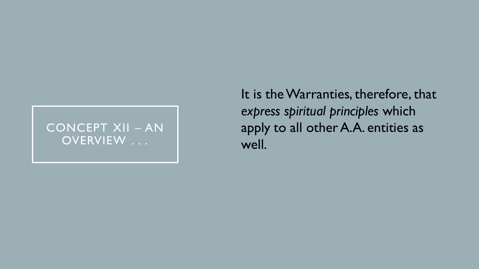### CONCEPT XII – AN OVERVIEW ...

It is the Warranties, therefore, that *express spiritual principles* which apply to all other A.A. entities as well.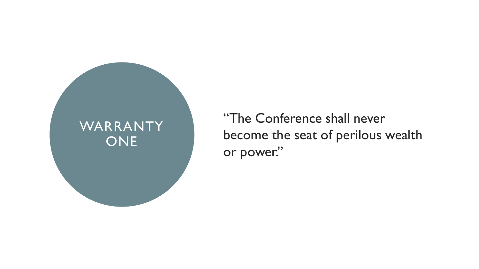

"The Conference shall never become the seat of perilous wealth or power."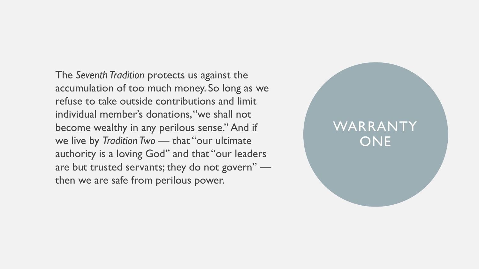The *Seventh Tradition* protects us against the accumulation of too much money. So long as we refuse to take outside contributions and limit individual member's donations, "we shall not become wealthy in any perilous sense." And if we live by *Tradition Two* — that "our ultimate authority is a loving God" and that "our leaders are but trusted servants; they do not govern" then we are safe from perilous power.

## WARRANTY ONE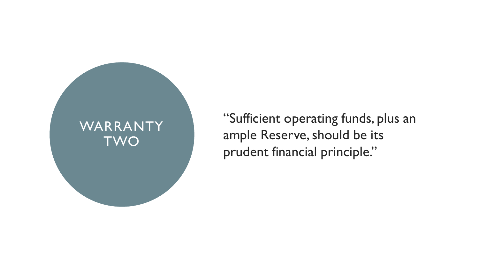

"Sufficient operating funds, plus an ample Reserve, should be its prudent financial principle."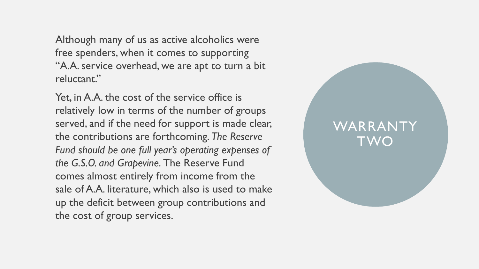Although many of us as active alcoholics were free spenders, when it comes to supporting "A.A. service overhead, we are apt to turn a bit reluctant."

Yet, in A.A. the cost of the service office is relatively low in terms of the number of groups served, and if the need for support is made clear, the contributions are forthcoming. *The Reserve Fund should be one full year's operating expenses of the G.S.O. and Grapevine.* The Reserve Fund comes almost entirely from income from the sale of A.A. literature, which also is used to make up the deficit between group contributions and the cost of group services.

## WARRANTY TWO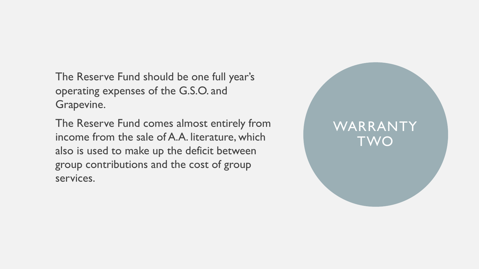The Reserve Fund should be one full year's operating expenses of the G.S.O. and Grapevine.

The Reserve Fund comes almost entirely from income from the sale of A.A. literature, which also is used to make up the deficit between group contributions and the cost of group services.

## WARRANTY TWO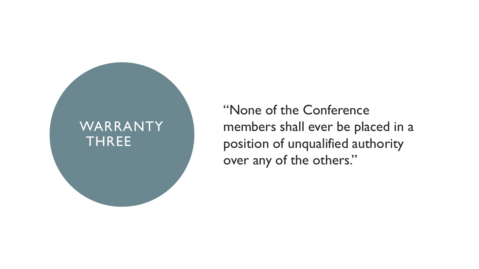## **WARRANTY** THREE

"None of the Conference members shall ever be placed in a position of unqualified authority over any of the others."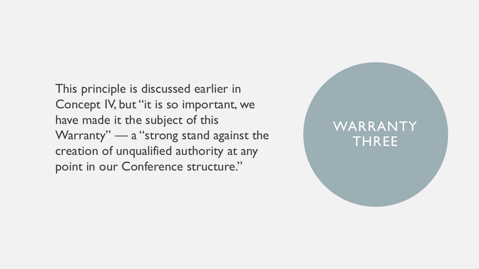This principle is discussed earlier in Concept IV, but "it is so important, we have made it the subject of this Warranty" — a "strong stand against the creation of unqualified authority at any point in our Conference structure."

## WARRANTY THREE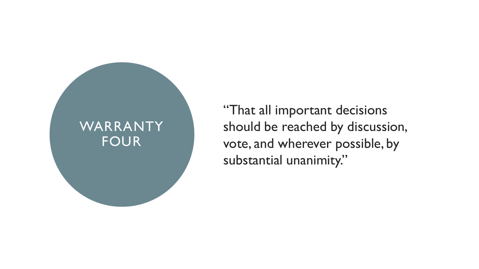## WARRANTY FOUR

"That all important decisions should be reached by discussion, vote, and wherever possible, by substantial unanimity."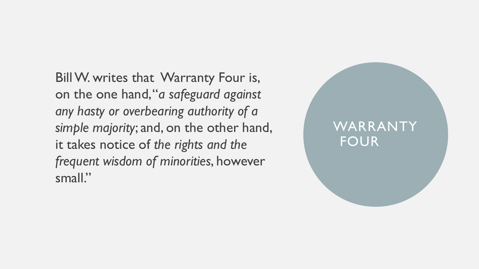Bill W. writes that Warranty Four is, on the one hand, "*a safeguard against any hasty or overbearing authority of a simple majority*; and, on the other hand, it takes notice of *the rights and the frequent wisdom of minorities*, however small."

## WARRANTY FOUR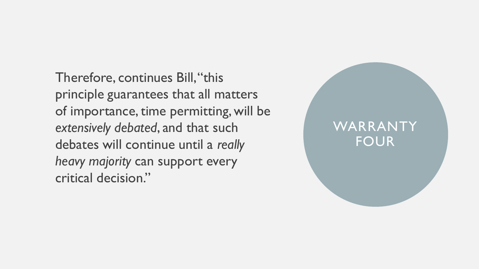Therefore, continues Bill, "this principle guarantees that all matters of importance, time permitting, will be *extensively debated*, and that such debates will continue until a *really heavy majority* can support every critical decision."

## WARRANTY FOUR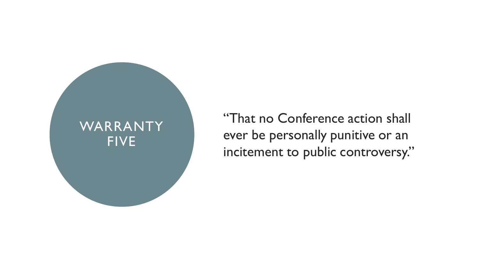

"That no Conference action shall ever be personally punitive or an incitement to public controversy."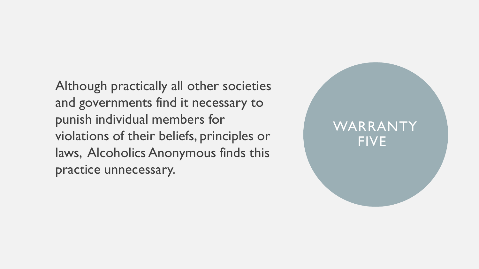Although practically all other societies and governments find it necessary to punish individual members for violations of their beliefs, principles or laws, Alcoholics Anonymous finds this practice unnecessary.

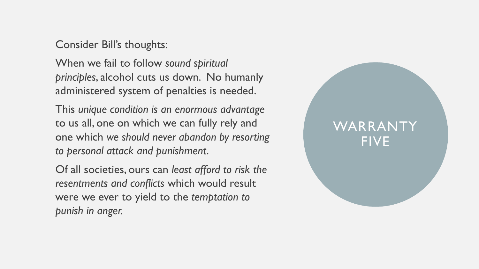#### Consider Bill's thoughts:

When we fail to follow *sound spiritual principles*, alcohol cuts us down. No humanly administered system of penalties is needed.

This *unique condition is an enormous advantage*  to us all, one on which we can fully rely and one which *we should never abandon by resorting to personal attack and punishment*.

Of all societies, ours can *least afford to risk the resentments and conflicts* which would result were we ever to yield to the *temptation to punish in anger.*

# WARRANTY FIVE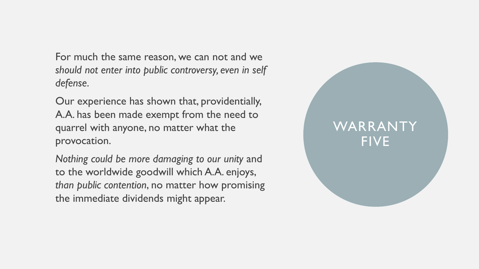For much the same reason, we can not and we *should not enter into public controversy, even in self defense.*

Our experience has shown that, providentially, A.A. has been made exempt from the need to quarrel with anyone, no matter what the provocation.

*Nothing could be more damaging to our unity* and to the worldwide goodwill which A.A. enjoys, *than public contention*, no matter how promising the immediate dividends might appear.

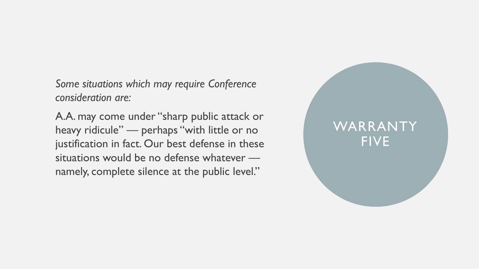*Some situations which may require Conference consideration are:* 

A.A. may come under "sharp public attack or heavy ridicule" — perhaps "with little or no justification in fact. Our best defense in these situations would be no defense whatever namely, complete silence at the public level."

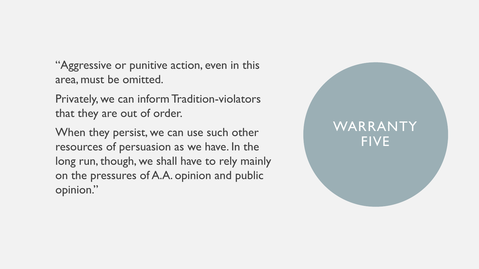"Aggressive or punitive action, even in this area, must be omitted.

Privately, we can inform Tradition-violators that they are out of order.

When they persist, we can use such other resources of persuasion as we have. In the long run, though, we shall have to rely mainly on the pressures of A.A. opinion and public opinion."

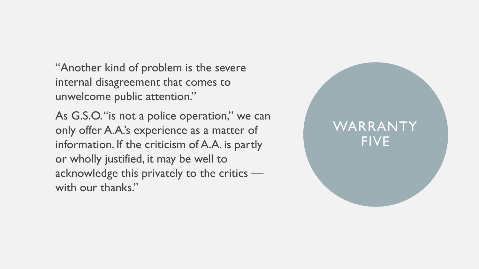"Another kind of problem is the severe internal disagreement that comes to unwelcome public attention."

As G.S.O. "is not a police operation," we can only offer A.A.'s experience as a matter of information. If the criticism of A.A. is partly or wholly justified, it may be well to acknowledge this privately to the critics with our thanks."

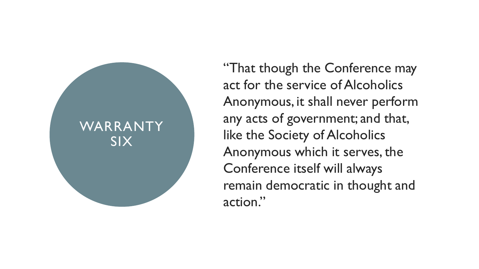

"That though the Conference may act for the service of Alcoholics Anonymous, it shall never perform any acts of government; and that, like the Society of Alcoholics Anonymous which it serves, the Conference itself will always remain democratic in thought and action."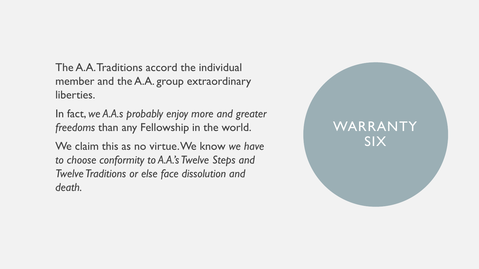The A.A. Traditions accord the individual member and the A.A. group extraordinary liberties.

In fact, *we A.A.s probably enjoy more and greater freedoms* than any Fellowship in the world.

We claim this as no virtue. We know *we have to choose conformity to A.A.'s Twelve Steps and Twelve Traditions or else face dissolution and death.*

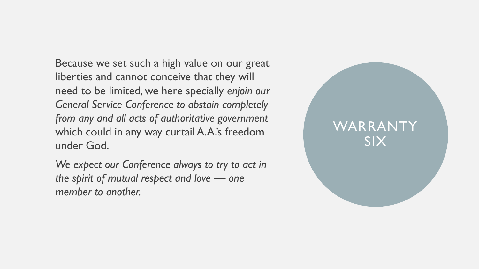Because we set such a high value on our great liberties and cannot conceive that they will need to be limited, we here specially *enjoin our General Service Conference to abstain completely from any and all acts of authoritative government* which could in any way curtail A.A.'s freedom under God.

*We expect our Conference always to try to act in the spirit of mutual respect and love — one member to another.*

## WARRANTY SIX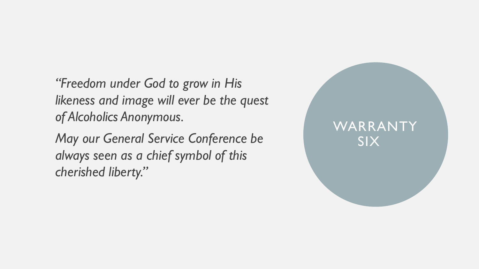*"Freedom under God to grow in His likeness and image will ever be the quest of Alcoholics Anonymous.* 

*May our General Service Conference be always seen as a chief symbol of this cherished liberty."*

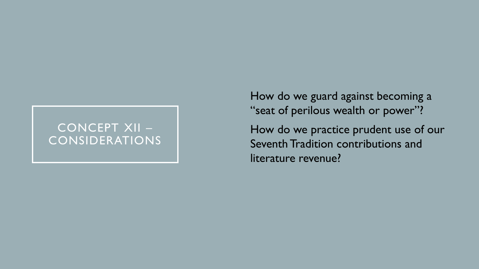### CONCEPT XII – CONSIDERATIONS

How do we guard against becoming a "seat of perilous wealth or power"? How do we practice prudent use of our

Seventh Tradition contributions and literature revenue?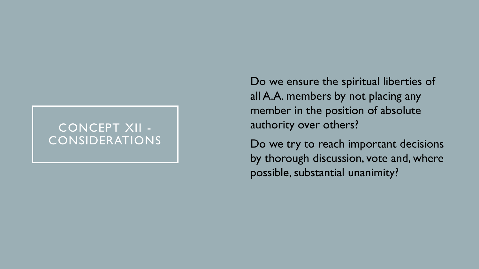#### CONCEPT XII - CONSIDERATIONS

Do we ensure the spiritual liberties of all A.A. members by not placing any member in the position of absolute authority over others?

Do we try to reach important decisions by thorough discussion, vote and, where possible, substantial unanimity?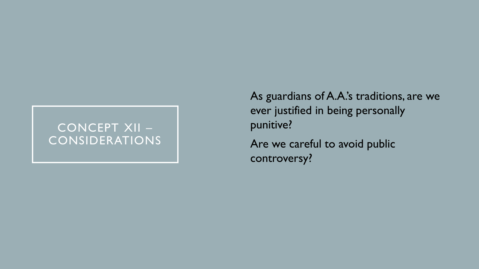## CONCEPT XII – CONSIDERATIONS

As guardians of A.A.'s traditions, are we ever justified in being personally punitive?

Are we careful to avoid public controversy?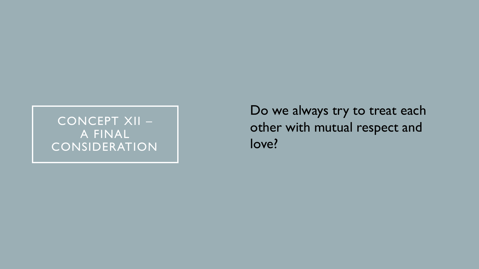#### CONCEPT XII – A FINAL CONSIDERATION

Do we always try to treat each other with mutual respect and love?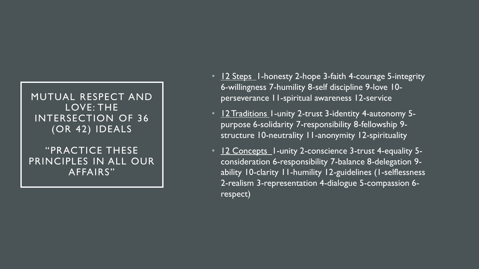#### MUTUAL RESPECT AND LOVE: THE INTERSECTION OF 36 (OR 42) IDEALS

"PRACTICE THESE PRINCIPLES IN ALL OUR AFFAIRS"

- 12 Steps 1-honesty 2-hope 3-faith 4-courage 5-integrity 6-willingness 7-humility 8-self discipline 9-love 10 perseverance 11-spiritual awareness 12-service
- 12 Traditions 1-unity 2-trust 3-identity 4-autonomy 5purpose 6-solidarity 7-responsibility 8-fellowship 9 structure 10-neutrality 11-anonymity 12-spirituality
- 12 Concepts 1-unity 2-conscience 3-trust 4-equality 5consideration 6-responsibility 7-balance 8-delegation 9 ability 10-clarity 11-humility 12-guidelines (1-selflessness 2-realism 3-representation 4-dialogue 5-compassion 6 respect)